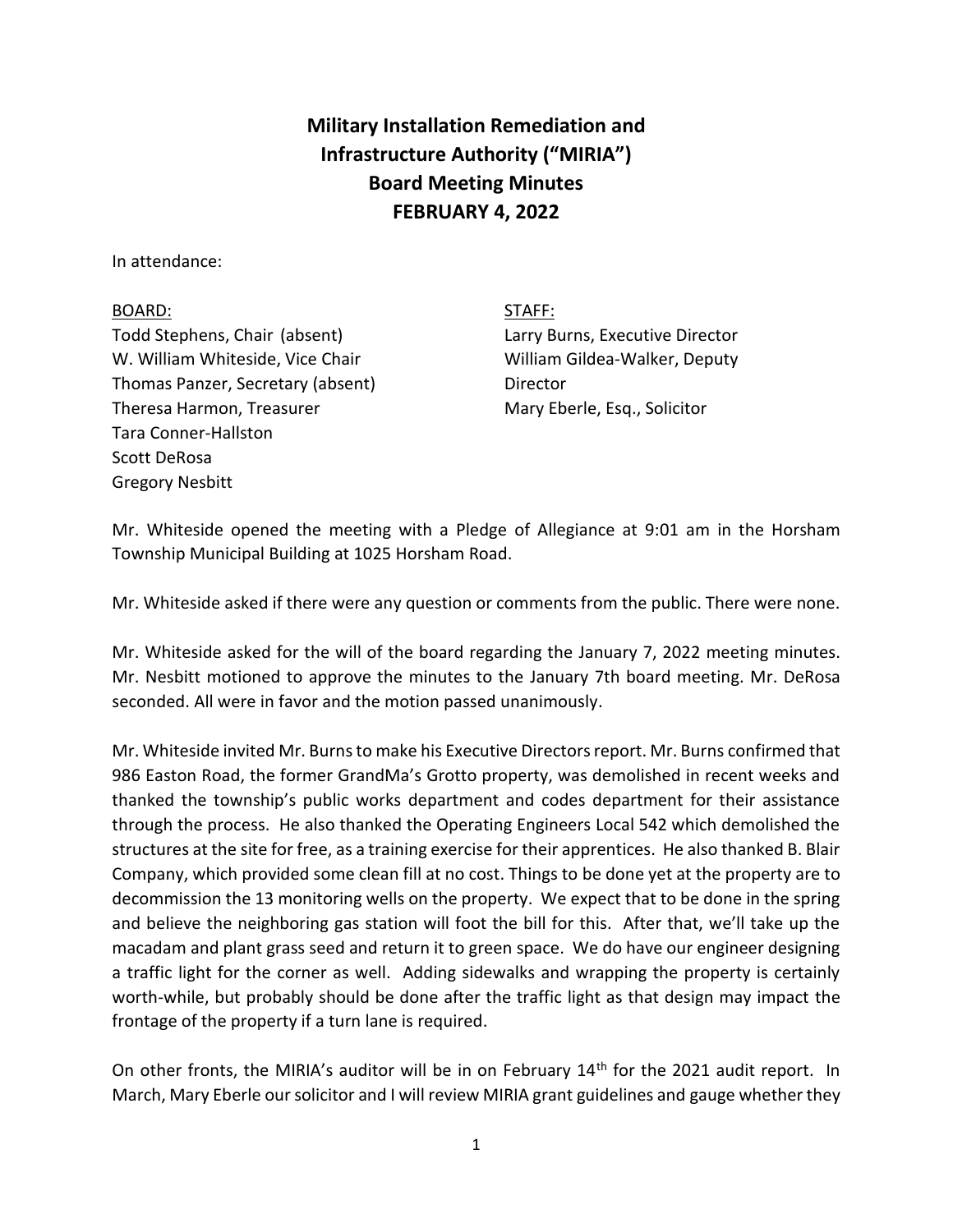## **Military Installation Remediation and Infrastructure Authority ("MIRIA") Board Meeting Minutes FEBRUARY 4, 2022**

In attendance:

## BOARD: STAFF:

Todd Stephens, Chair (absent) Larry Burns, Executive Director W. William Whiteside, Vice Chair William Gildea-Walker, Deputy Thomas Panzer, Secretary (absent) Director Theresa Harmon, Treasurer Mary Eberle, Esq., Solicitor Tara Conner-Hallston Scott DeRosa Gregory Nesbitt

Mr. Whiteside opened the meeting with a Pledge of Allegiance at 9:01 am in the Horsham Township Municipal Building at 1025 Horsham Road.

Mr. Whiteside asked if there were any question or comments from the public. There were none.

Mr. Whiteside asked for the will of the board regarding the January 7, 2022 meeting minutes. Mr. Nesbitt motioned to approve the minutes to the January 7th board meeting. Mr. DeRosa seconded. All were in favor and the motion passed unanimously.

Mr. Whiteside invited Mr. Burns to make his Executive Directors report. Mr. Burns confirmed that 986 Easton Road, the former GrandMa's Grotto property, was demolished in recent weeks and thanked the township's public works department and codes department for their assistance through the process. He also thanked the Operating Engineers Local 542 which demolished the structures at the site for free, as a training exercise for their apprentices. He also thanked B. Blair Company, which provided some clean fill at no cost. Things to be done yet at the property are to decommission the 13 monitoring wells on the property. We expect that to be done in the spring and believe the neighboring gas station will foot the bill for this. After that, we'll take up the macadam and plant grass seed and return it to green space. We do have our engineer designing a traffic light for the corner as well. Adding sidewalks and wrapping the property is certainly worth-while, but probably should be done after the traffic light as that design may impact the frontage of the property if a turn lane is required.

On other fronts, the MIRIA's auditor will be in on February 14<sup>th</sup> for the 2021 audit report. In March, Mary Eberle our solicitor and I will review MIRIA grant guidelines and gauge whether they